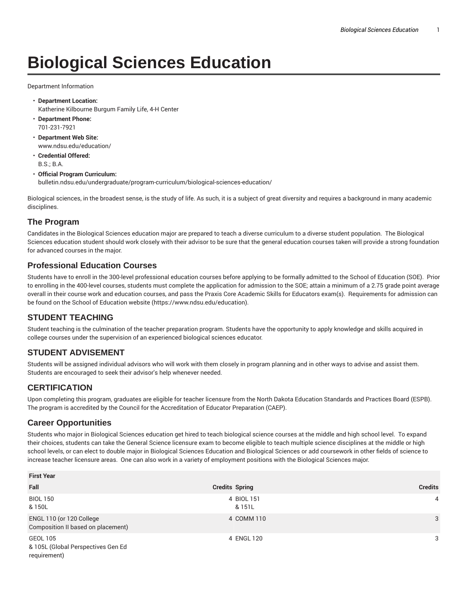# **Biological Sciences Education**

Department Information

- **Department Location:** Katherine Kilbourne Burgum Family Life, 4-H Center
- **Department Phone:** 701-231-7921
- **Department Web Site:** www.ndsu.edu/education/
- **Credential Offered:** B.S.; B.A.

#### • **Official Program Curriculum:** bulletin.ndsu.edu/undergraduate/program-curriculum/biological-sciences-education/

Biological sciences, in the broadest sense, is the study of life. As such, it is a subject of great diversity and requires a background in many academic disciplines.

### **The Program**

Candidates in the Biological Sciences education major are prepared to teach a diverse curriculum to a diverse student population. The Biological Sciences education student should work closely with their advisor to be sure that the general education courses taken will provide a strong foundation for advanced courses in the major.

### **Professional Education Courses**

Students have to enroll in the 300-level professional education courses before applying to be formally admitted to the School of Education (SOE). Prior to enrolling in the 400-level courses, students must complete the application for admission to the SOE; attain a minimum of a 2.75 grade point average overall in their course work and education courses, and pass the Praxis Core Academic Skills for Educators exam(s). Requirements for admission can be found on the School of Education website (https://www.ndsu.edu/education).

# **STUDENT TEACHING**

Student teaching is the culmination of the teacher preparation program. Students have the opportunity to apply knowledge and skills acquired in college courses under the supervision of an experienced biological sciences educator.

# **STUDENT ADVISEMENT**

Students will be assigned individual advisors who will work with them closely in program planning and in other ways to advise and assist them. Students are encouraged to seek their advisor's help whenever needed.

# **CERTIFICATION**

Upon completing this program, graduates are eligible for teacher licensure from the North Dakota Education Standards and Practices Board (ESPB). The program is accredited by the Council for the Accreditation of Educator Preparation (CAEP).

### **Career Opportunities**

Students who major in Biological Sciences education get hired to teach biological science courses at the middle and high school level. To expand their choices, students can take the General Science licensure exam to become eligible to teach multiple science disciplines at the middle or high school levels, or can elect to double major in Biological Sciences Education and Biological Sciences or add coursework in other fields of science to increase teacher licensure areas. One can also work in a variety of employment positions with the Biological Sciences major.

| <b>First Year</b>                                              |                       |                |  |
|----------------------------------------------------------------|-----------------------|----------------|--|
| Fall                                                           | <b>Credits Spring</b> | <b>Credits</b> |  |
| <b>BIOL 150</b><br>& 150L                                      | 4 BIOL 151<br>& 151L  | 4              |  |
| ENGL 110 (or 120 College<br>Composition II based on placement) | 4 COMM 110            | 3              |  |
| GEOL 105<br>& 105L (Global Perspectives Gen Ed<br>requirement) | 4 ENGL 120            | 3              |  |